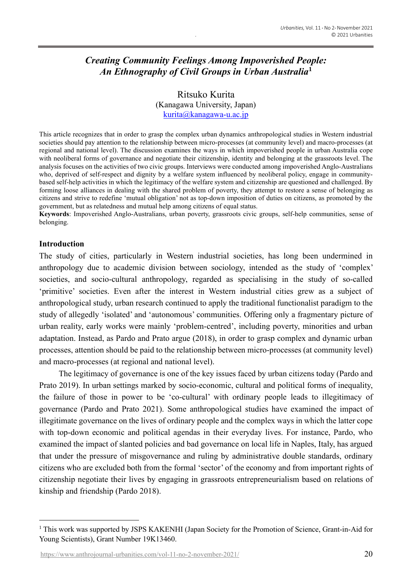# *Creating Community Feelings Among Impoverished People: An Ethnography of Civil Groups in Urban Australia***<sup>1</sup>**

Ritsuko Kurita (Kanagawa University, Japan) [kurita@kanagawa-u.ac.jp](mailto:kurita@kanagawa-u.ac.jp)

This article recognizes that in order to grasp the complex urban dynamics anthropological studies in Western industrial societies should pay attention to the relationship between micro-processes (at community level) and macro-processes (at regional and national level). The discussion examines the ways in which impoverished people in urban Australia cope with neoliberal forms of governance and negotiate their citizenship, identity and belonging at the grassroots level. The analysis focuses on the activities of two civic groups. Interviews were conducted among impoverished Anglo-Australians who, deprived of self-respect and dignity by a welfare system influenced by neoliberal policy, engage in communitybased self-help activities in which the legitimacy of the welfare system and citizenship are questioned and challenged. By forming loose alliances in dealing with the shared problem of poverty, they attempt to restore a sense of belonging as citizens and strive to redefine 'mutual obligation' not as top-down imposition of duties on citizens, as promoted by the government, but as relatedness and mutual help among citizens of equal status.

**Keywords**: Impoverished Anglo-Australians, urban poverty, grassroots civic groups, self-help communities, sense of belonging.

### **Introduction**

The study of cities, particularly in Western industrial societies, has long been undermined in anthropology due to academic division between sociology, intended as the study of 'complex' societies, and socio-cultural anthropology, regarded as specialising in the study of so-called 'primitive' societies. Even after the interest in Western industrial cities grew as a subject of anthropological study, urban research continued to apply the traditional functionalist paradigm to the study of allegedly 'isolated' and 'autonomous' communities. Offering only a fragmentary picture of urban reality, early works were mainly 'problem-centred', including poverty, minorities and urban adaptation. Instead, as Pardo and Prato argue (2018), in order to grasp complex and dynamic urban processes, attention should be paid to the relationship between micro-processes (at community level) and macro-processes (at regional and national level).

The legitimacy of governance is one of the key issues faced by urban citizens today (Pardo and Prato 2019). In urban settings marked by socio-economic, cultural and political forms of inequality, the failure of those in power to be 'co-cultural' with ordinary people leads to illegitimacy of governance (Pardo and Prato 2021). Some anthropological studies have examined the impact of illegitimate governance on the lives of ordinary people and the complex ways in which the latter cope with top-down economic and political agendas in their everyday lives. For instance, Pardo, who examined the impact of slanted policies and bad governance on local life in Naples, Italy, has argued that under the pressure of misgovernance and ruling by administrative double standards, ordinary citizens who are excluded both from the formal 'sector' of the economy and from important rights of citizenship negotiate their lives by engaging in grassroots entrepreneurialism based on relations of kinship and friendship (Pardo 2018).

<sup>&</sup>lt;sup>1</sup> This work was supported by JSPS KAKENHI (Japan Society for the Promotion of Science, Grant-in-Aid for Young Scientists), Grant Number 19K13460.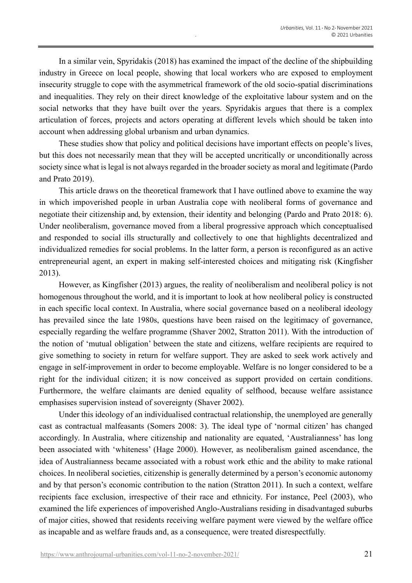In a similar vein, Spyridakis (2018) has examined the impact of the decline of the shipbuilding industry in Greece on local people, showing that local workers who are exposed to employment insecurity struggle to cope with the asymmetrical framework of the old socio-spatial discriminations and inequalities. They rely on their direct knowledge of the exploitative labour system and on the social networks that they have built over the years. Spyridakis argues that there is a complex articulation of forces, projects and actors operating at different levels which should be taken into account when addressing global urbanism and urban dynamics.

These studies show that policy and political decisions have important effects on people's lives, but this does not necessarily mean that they will be accepted uncritically or unconditionally across society since what is legal is not always regarded in the broader society as moral and legitimate (Pardo and Prato 2019).

This article draws on the theoretical framework that I have outlined above to examine the way in which impoverished people in urban Australia cope with neoliberal forms of governance and negotiate their citizenship and, by extension, their identity and belonging (Pardo and Prato 2018: 6). Under neoliberalism, governance moved from a liberal progressive approach which conceptualised and responded to social ills structurally and collectively to one that highlights decentralized and individualized remedies for social problems. In the latter form, a person is reconfigured as an active entrepreneurial agent, an expert in making self-interested choices and mitigating risk (Kingfisher 2013).

However, as Kingfisher (2013) argues, the reality of neoliberalism and neoliberal policy is not homogenous throughout the world, and it is important to look at how neoliberal policy is constructed in each specific local context. In Australia, where social governance based on a neoliberal ideology has prevailed since the late 1980s, questions have been raised on the legitimacy of governance, especially regarding the welfare programme (Shaver 2002, Stratton 2011). With the introduction of the notion of 'mutual obligation' between the state and citizens, welfare recipients are required to give something to society in return for welfare support. They are asked to seek work actively and engage in self-improvement in order to become employable. Welfare is no longer considered to be a right for the individual citizen; it is now conceived as support provided on certain conditions. Furthermore, the welfare claimants are denied equality of selfhood, because welfare assistance emphasises supervision instead of sovereignty (Shaver 2002).

Under this ideology of an individualised contractual relationship, the unemployed are generally cast as contractual malfeasants (Somers 2008: 3). The ideal type of 'normal citizen' has changed accordingly. In Australia, where citizenship and nationality are equated, 'Australianness' has long been associated with 'whiteness' (Hage 2000). However, as neoliberalism gained ascendance, the idea of Australianness became associated with a robust work ethic and the ability to make rational choices. In neoliberal societies, citizenship is generally determined by a person's economic autonomy and by that person's economic contribution to the nation (Stratton 2011). In such a context, welfare recipients face exclusion, irrespective of their race and ethnicity. For instance, Peel (2003), who examined the life experiences of impoverished Anglo-Australians residing in disadvantaged suburbs of major cities, showed that residents receiving welfare payment were viewed by the welfare office as incapable and as welfare frauds and, as a consequence, were treated disrespectfully.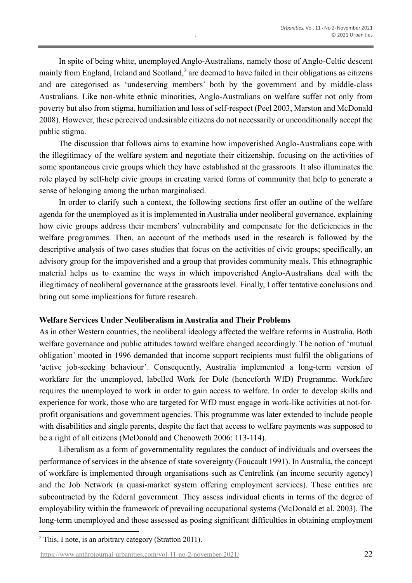In spite of being white, unemployed Anglo-Australians, namely those of Anglo-Celtic descent mainly from England, Ireland and Scotland, $2$  are deemed to have failed in their obligations as citizens and are categorised as 'undeserving members' both by the government and by middle-class Australians. Like non-white ethnic minorities, Anglo-Australians on welfare suffer not only from poverty but also from stigma, humiliation and loss of self-respect (Peel 2003, Marston and McDonald 2008). However, these perceived undesirable citizens do not necessarily or unconditionally accept the public stigma.

The discussion that follows aims to examine how impoverished Anglo-Australians cope with the illegitimacy of the welfare system and negotiate their citizenship, focusing on the activities of some spontaneous civic groups which they have established at the grassroots. It also illuminates the role played by self-help civic groups in creating varied forms of community that help to generate a sense of belonging among the urban marginalised.

In order to clarify such a context, the following sections first offer an outline of the welfare agenda for the unemployed as it is implemented in Australia under neoliberal governance, explaining how civic groups address their members' vulnerability and compensate for the deficiencies in the welfare programmes. Then, an account of the methods used in the research is followed by the descriptive analysis of two cases studies that focus on the activities of civic groups; specifically, an advisory group for the impoverished and a group that provides community meals. This ethnographic material helps us to examine the ways in which impoverished Anglo-Australians deal with the illegitimacy of neoliberal governance at the grassroots level. Finally, I offer tentative conclusions and bring out some implications for future research.

#### **Welfare Services Under Neoliberalism in Australia and Their Problems**

As in other Western countries, the neoliberal ideology affected the welfare reforms in Australia. Both welfare governance and public attitudes toward welfare changed accordingly. The notion of 'mutual obligation' mooted in 1996 demanded that income support recipients must fulfil the obligations of 'active job-seeking behaviour'. Consequently, Australia implemented a long-term version of workfare for the unemployed, labelled Work for Dole (henceforth WfD) Programme. Workfare requires the unemployed to work in order to gain access to welfare. In order to develop skills and experience for work, those who are targeted for WfD must engage in work-like activities at not-forprofit organisations and government agencies. This programme was later extended to include people with disabilities and single parents, despite the fact that access to welfare payments was supposed to be a right of all citizens (McDonald and Chenoweth 2006: 113-114).

Liberalism as a form of governmentality regulates the conduct of individuals and oversees the performance of services in the absence of state sovereignty (Foucault 1991). In Australia, the concept of workfare is implemented through organisations such as Centrelink (an income security agency) and the Job Network (a quasi-market system offering employment services). These entities are subcontracted by the federal government. They assess individual clients in terms of the degree of employability within the framework of prevailing occupational systems (McDonald et al. 2003). The long-term unemployed and those assessed as posing significant difficulties in obtaining employment

<sup>&</sup>lt;sup>2</sup> This, I note, is an arbitrary category (Stratton 2011).

[https://www.anthrojournal-urbanities.com/vol-11-no-2-november-2021/](https://www.anthrojournal-urbanities.com/?page_id=1361&preview=true) 22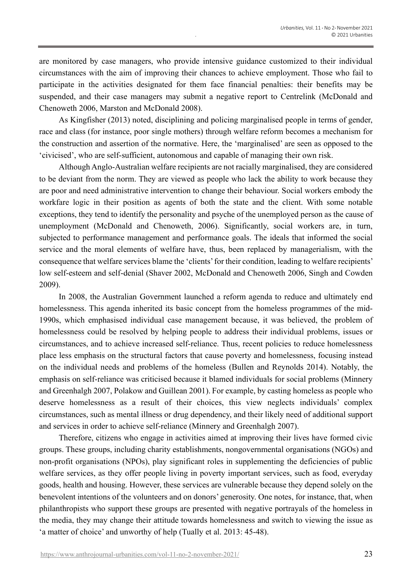are monitored by case managers, who provide intensive guidance customized to their individual circumstances with the aim of improving their chances to achieve employment. Those who fail to participate in the activities designated for them face financial penalties: their benefits may be suspended, and their case managers may submit a negative report to Centrelink (McDonald and Chenoweth 2006, Marston and McDonald 2008).

As Kingfisher (2013) noted, disciplining and policing marginalised people in terms of gender, race and class (for instance, poor single mothers) through welfare reform becomes a mechanism for the construction and assertion of the normative. Here, the 'marginalised' are seen as opposed to the 'civicised', who are self-sufficient, autonomous and capable of managing their own risk.

Although Anglo-Australian welfare recipients are not racially marginalised, they are considered to be deviant from the norm. They are viewed as people who lack the ability to work because they are poor and need administrative intervention to change their behaviour. Social workers embody the workfare logic in their position as agents of both the state and the client. With some notable exceptions, they tend to identify the personality and psyche of the unemployed person as the cause of unemployment (McDonald and Chenoweth, 2006). Significantly, social workers are, in turn, subjected to performance management and performance goals. The ideals that informed the social service and the moral elements of welfare have, thus, been replaced by managerialism, with the consequence that welfare services blame the 'clients' for their condition, leading to welfare recipients' low self-esteem and self-denial (Shaver 2002, McDonald and Chenoweth 2006, Singh and Cowden 2009).

In 2008, the Australian Government launched a reform agenda to reduce and ultimately end homelessness. This agenda inherited its basic concept from the homeless programmes of the mid-1990s, which emphasised individual case management because, it was believed, the problem of homelessness could be resolved by helping people to address their individual problems, issues or circumstances, and to achieve increased self-reliance. Thus, recent policies to reduce homelessness place less emphasis on the structural factors that cause poverty and homelessness, focusing instead on the individual needs and problems of the homeless (Bullen and Reynolds 2014). Notably, the emphasis on self-reliance was criticised because it blamed individuals for social problems (Minnery and Greenhalgh 2007, Polakow and Guillean 2001). For example, by casting homeless as people who deserve homelessness as a result of their choices, this view neglects individuals' complex circumstances, such as mental illness or drug dependency, and their likely need of additional support and services in order to achieve self-reliance (Minnery and Greenhalgh 2007).

Therefore, citizens who engage in activities aimed at improving their lives have formed civic groups. These groups, including charity establishments, nongovernmental organisations (NGOs) and non-profit organisations (NPOs), play significant roles in supplementing the deficiencies of public welfare services, as they offer people living in poverty important services, such as food, everyday goods, health and housing. However, these services are vulnerable because they depend solely on the benevolent intentions of the volunteers and on donors' generosity. One notes, for instance, that, when philanthropists who support these groups are presented with negative portrayals of the homeless in the media, they may change their attitude towards homelessness and switch to viewing the issue as 'a matter of choice' and unworthy of help (Tually et al. 2013: 45-48).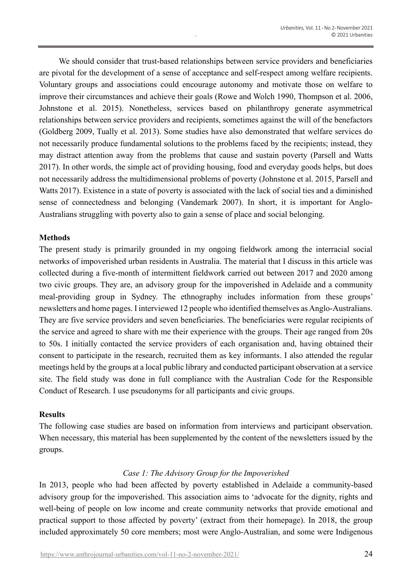We should consider that trust-based relationships between service providers and beneficiaries are pivotal for the development of a sense of acceptance and self-respect among welfare recipients. Voluntary groups and associations could encourage autonomy and motivate those on welfare to improve their circumstances and achieve their goals (Rowe and Wolch 1990, Thompson et al. 2006, Johnstone et al. 2015). Nonetheless, services based on philanthropy generate asymmetrical relationships between service providers and recipients, sometimes against the will of the benefactors (Goldberg 2009, Tually et al. 2013). Some studies have also demonstrated that welfare services do not necessarily produce fundamental solutions to the problems faced by the recipients; instead, they may distract attention away from the problems that cause and sustain poverty (Parsell and Watts 2017). In other words, the simple act of providing housing, food and everyday goods helps, but does not necessarily address the multidimensional problems of poverty (Johnstone et al. 2015, Parsell and Watts 2017). Existence in a state of poverty is associated with the lack of social ties and a diminished sense of connectedness and belonging (Vandemark 2007). In short, it is important for Anglo-Australians struggling with poverty also to gain a sense of place and social belonging.

### **Methods**

The present study is primarily grounded in my ongoing fieldwork among the interracial social networks of impoverished urban residents in Australia. The material that I discuss in this article was collected during a five-month of intermittent fieldwork carried out between 2017 and 2020 among two civic groups. They are, an advisory group for the impoverished in Adelaide and a community meal-providing group in Sydney. The ethnography includes information from these groups' newsletters and home pages. I interviewed 12 people who identified themselves as Anglo-Australians. They are five service providers and seven beneficiaries. The beneficiaries were regular recipients of the service and agreed to share with me their experience with the groups. Their age ranged from 20s to 50s. I initially contacted the service providers of each organisation and, having obtained their consent to participate in the research, recruited them as key informants. I also attended the regular meetings held by the groups at a local public library and conducted participant observation at a service site. The field study was done in full compliance with the Australian Code for the Responsible Conduct of Research. I use pseudonyms for all participants and civic groups.

### **Results**

The following case studies are based on information from interviews and participant observation. When necessary, this material has been supplemented by the content of the newsletters issued by the groups.

# *Case 1: The Advisory Group for the Impoverished*

In 2013, people who had been affected by poverty established in Adelaide a community-based advisory group for the impoverished. This association aims to 'advocate for the dignity, rights and well-being of people on low income and create community networks that provide emotional and practical support to those affected by poverty' (extract from their homepage). In 2018, the group included approximately 50 core members; most were Anglo-Australian, and some were Indigenous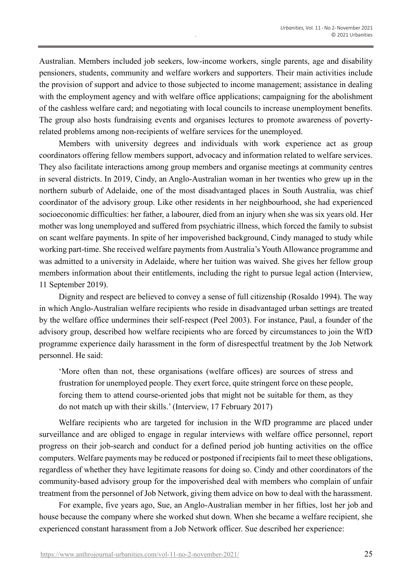Australian. Members included job seekers, low-income workers, single parents, age and disability pensioners, students, community and welfare workers and supporters. Their main activities include the provision of support and advice to those subjected to income management; assistance in dealing with the employment agency and with welfare office applications; campaigning for the abolishment of the cashless welfare card; and negotiating with local councils to increase unemployment benefits. The group also hosts fundraising events and organises lectures to promote awareness of povertyrelated problems among non-recipients of welfare services for the unemployed.

Members with university degrees and individuals with work experience act as group coordinators offering fellow members support, advocacy and information related to welfare services. They also facilitate interactions among group members and organise meetings at community centres in several districts. In 2019, Cindy, an Anglo-Australian woman in her twenties who grew up in the northern suburb of Adelaide, one of the most disadvantaged places in South Australia, was chief coordinator of the advisory group. Like other residents in her neighbourhood, she had experienced socioeconomic difficulties: her father, a labourer, died from an injury when she was six years old. Her mother was long unemployed and suffered from psychiatric illness, which forced the family to subsist on scant welfare payments. In spite of her impoverished background, Cindy managed to study while working part-time. She received welfare payments from Australia's Youth Allowance programme and was admitted to a university in Adelaide, where her tuition was waived. She gives her fellow group members information about their entitlements, including the right to pursue legal action (Interview, 11 September 2019).

Dignity and respect are believed to convey a sense of full citizenship (Rosaldo 1994). The way in which Anglo-Australian welfare recipients who reside in disadvantaged urban settings are treated by the welfare office undermines their self-respect (Peel 2003). For instance, Paul, a founder of the advisory group, described how welfare recipients who are forced by circumstances to join the WfD programme experience daily harassment in the form of disrespectful treatment by the Job Network personnel. He said:

'More often than not, these organisations (welfare offices) are sources of stress and frustration for unemployed people. They exert force, quite stringent force on these people, forcing them to attend course-oriented jobs that might not be suitable for them, as they do not match up with their skills.' (Interview, 17 February 2017)

Welfare recipients who are targeted for inclusion in the WfD programme are placed under surveillance and are obliged to engage in regular interviews with welfare office personnel, report progress on their job-search and conduct for a defined period job hunting activities on the office computers. Welfare payments may be reduced or postponed if recipients fail to meet these obligations, regardless of whether they have legitimate reasons for doing so. Cindy and other coordinators of the community-based advisory group for the impoverished deal with members who complain of unfair treatment from the personnel of Job Network, giving them advice on how to deal with the harassment.

For example, five years ago, Sue, an Anglo-Australian member in her fifties, lost her job and house because the company where she worked shut down. When she became a welfare recipient, she experienced constant harassment from a Job Network officer. Sue described her experience: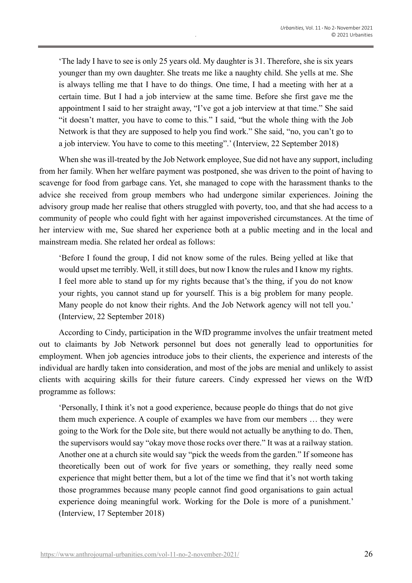'The lady I have to see is only 25 years old. My daughter is 31. Therefore, she is six years younger than my own daughter. She treats me like a naughty child. She yells at me. She is always telling me that I have to do things. One time, I had a meeting with her at a certain time. But I had a job interview at the same time. Before she first gave me the appointment I said to her straight away, "I've got a job interview at that time." She said "it doesn't matter, you have to come to this." I said, "but the whole thing with the Job Network is that they are supposed to help you find work." She said, "no, you can't go to a job interview. You have to come to this meeting".' (Interview, 22 September 2018)

When she was ill-treated by the Job Network employee, Sue did not have any support, including from her family. When her welfare payment was postponed, she was driven to the point of having to scavenge for food from garbage cans. Yet, she managed to cope with the harassment thanks to the advice she received from group members who had undergone similar experiences. Joining the advisory group made her realise that others struggled with poverty, too, and that she had access to a community of people who could fight with her against impoverished circumstances. At the time of her interview with me, Sue shared her experience both at a public meeting and in the local and mainstream media. She related her ordeal as follows:

'Before I found the group, I did not know some of the rules. Being yelled at like that would upset me terribly. Well, it still does, but now I know the rules and I know my rights. I feel more able to stand up for my rights because that's the thing, if you do not know your rights, you cannot stand up for yourself. This is a big problem for many people. Many people do not know their rights. And the Job Network agency will not tell you.' (Interview, 22 September 2018)

According to Cindy, participation in the WfD programme involves the unfair treatment meted out to claimants by Job Network personnel but does not generally lead to opportunities for employment. When job agencies introduce jobs to their clients, the experience and interests of the individual are hardly taken into consideration, and most of the jobs are menial and unlikely to assist clients with acquiring skills for their future careers. Cindy expressed her views on the WfD programme as follows:

'Personally, I think it's not a good experience, because people do things that do not give them much experience. A couple of examples we have from our members … they were going to the Work for the Dole site, but there would not actually be anything to do. Then, the supervisors would say "okay move those rocks over there." It was at a railway station. Another one at a church site would say "pick the weeds from the garden." If someone has theoretically been out of work for five years or something, they really need some experience that might better them, but a lot of the time we find that it's not worth taking those programmes because many people cannot find good organisations to gain actual experience doing meaningful work. Working for the Dole is more of a punishment.' (Interview, 17 September 2018)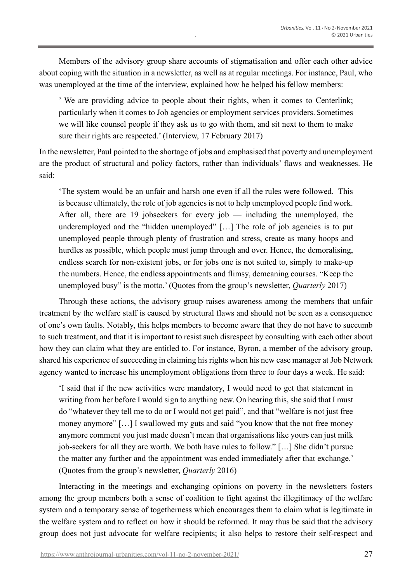Members of the advisory group share accounts of stigmatisation and offer each other advice about coping with the situation in a newsletter, as well as at regular meetings. For instance, Paul, who was unemployed at the time of the interview, explained how he helped his fellow members:

' We are providing advice to people about their rights, when it comes to Centerlink; particularly when it comes to Job agencies or employment services providers. Sometimes we will like counsel people if they ask us to go with them, and sit next to them to make sure their rights are respected.' (Interview, 17 February 2017)

In the newsletter, Paul pointed to the shortage of jobs and emphasised that poverty and unemployment are the product of structural and policy factors, rather than individuals' flaws and weaknesses. He said:

'The system would be an unfair and harsh one even if all the rules were followed. This is because ultimately, the role of job agencies is not to help unemployed people find work. After all, there are 19 jobseekers for every job — including the unemployed, the underemployed and the "hidden unemployed" [...] The role of job agencies is to put unemployed people through plenty of frustration and stress, create as many hoops and hurdles as possible, which people must jump through and over. Hence, the demoralising, endless search for non-existent jobs, or for jobs one is not suited to, simply to make-up the numbers. Hence, the endless appointments and flimsy, demeaning courses. "Keep the unemployed busy" is the motto.' (Quotes from the group's newsletter, *Quarterly* 2017)

Through these actions, the advisory group raises awareness among the members that unfair treatment by the welfare staff is caused by structural flaws and should not be seen as a consequence of one's own faults. Notably, this helps members to become aware that they do not have to succumb to such treatment, and that it is important to resist such disrespect by consulting with each other about how they can claim what they are entitled to. For instance, Byron, a member of the advisory group, shared his experience of succeeding in claiming his rights when his new case manager at Job Network agency wanted to increase his unemployment obligations from three to four days a week. He said:

'I said that if the new activities were mandatory, I would need to get that statement in writing from her before I would sign to anything new. On hearing this, she said that I must do "whatever they tell me to do or I would not get paid", and that "welfare is not just free money anymore" […] I swallowed my guts and said "you know that the not free money anymore comment you just made doesn't mean that organisations like yours can just milk job-seekers for all they are worth. We both have rules to follow." […] She didn't pursue the matter any further and the appointment was ended immediately after that exchange.' (Quotes from the group's newsletter, *Quarterly* 2016)

Interacting in the meetings and exchanging opinions on poverty in the newsletters fosters among the group members both a sense of coalition to fight against the illegitimacy of the welfare system and a temporary sense of togetherness which encourages them to claim what is legitimate in the welfare system and to reflect on how it should be reformed. It may thus be said that the advisory group does not just advocate for welfare recipients; it also helps to restore their self-respect and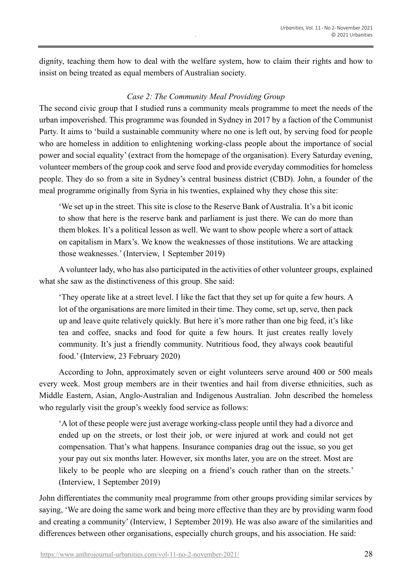dignity, teaching them how to deal with the welfare system, how to claim their rights and how to insist on being treated as equal members of Australian society.

## *Case 2: The Community Meal Providing Group*

The second civic group that I studied runs a community meals programme to meet the needs of the urban impoverished. This programme was founded in Sydney in 2017 by a faction of the Communist Party. It aims to 'build a sustainable community where no one is left out, by serving food for people who are homeless in addition to enlightening working-class people about the importance of social power and social equality' (extract from the homepage of the organisation). Every Saturday evening, volunteer members of the group cook and serve food and provide everyday commodities for homeless people. They do so from a site in Sydney's central business district (CBD). John, a founder of the meal programme originally from Syria in his twenties, explained why they chose this site:

'We set up in the street. This site is close to the Reserve Bank of Australia. It's a bit iconic to show that here is the reserve bank and parliament is just there. We can do more than them blokes. It's a political lesson as well. We want to show people where a sort of attack on capitalism in Marx's. We know the weaknesses of those institutions. We are attacking those weaknesses.' (Interview, 1 September 2019)

A volunteer lady, who has also participated in the activities of other volunteer groups, explained what she saw as the distinctiveness of this group. She said:

'They operate like at a street level. I like the fact that they set up for quite a few hours. A lot of the organisations are more limited in their time. They come, set up, serve, then pack up and leave quite relatively quickly. But here it's more rather than one big feed, it's like tea and coffee, snacks and food for quite a few hours. It just creates really lovely community. It's just a friendly community. Nutritious food, they always cook beautiful food.' (Interview, 23 February 2020)

According to John, approximately seven or eight volunteers serve around 400 or 500 meals every week. Most group members are in their twenties and hail from diverse ethnicities, such as Middle Eastern, Asian, Anglo-Australian and Indigenous Australian. John described the homeless who regularly visit the group's weekly food service as follows:

'A lot of these people were just average working-class people until they had a divorce and ended up on the streets, or lost their job, or were injured at work and could not get compensation. That's what happens. Insurance companies drag out the issue, so you get your pay out six months later. However, six months later, you are on the street. Most are likely to be people who are sleeping on a friend's couch rather than on the streets.' (Interview, 1 September 2019)

John differentiates the community meal programme from other groups providing similar services by saying, 'We are doing the same work and being more effective than they are by providing warm food and creating a community' (Interview, 1 September 2019). He was also aware of the similarities and differences between other organisations, especially church groups, and his association. He said: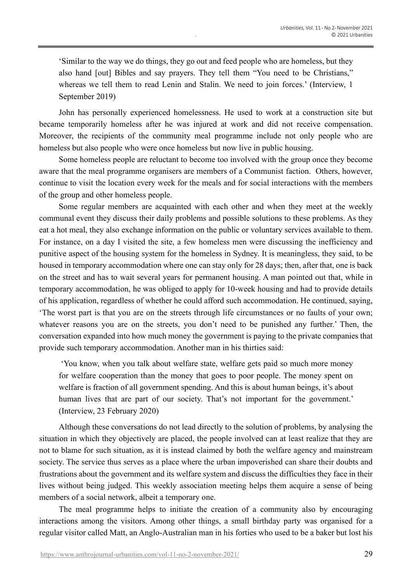'Similar to the way we do things, they go out and feed people who are homeless, but they also hand [out] Bibles and say prayers. They tell them "You need to be Christians," whereas we tell them to read Lenin and Stalin. We need to join forces.' (Interview, 1 September 2019)

John has personally experienced homelessness. He used to work at a construction site but became temporarily homeless after he was injured at work and did not receive compensation. Moreover, the recipients of the community meal programme include not only people who are homeless but also people who were once homeless but now live in public housing.

Some homeless people are reluctant to become too involved with the group once they become aware that the meal programme organisers are members of a Communist faction. Others, however, continue to visit the location every week for the meals and for social interactions with the members of the group and other homeless people.

Some regular members are acquainted with each other and when they meet at the weekly communal event they discuss their daily problems and possible solutions to these problems. As they eat a hot meal, they also exchange information on the public or voluntary services available to them. For instance, on a day I visited the site, a few homeless men were discussing the inefficiency and punitive aspect of the housing system for the homeless in Sydney. It is meaningless, they said, to be housed in temporary accommodation where one can stay only for 28 days; then, after that, one is back on the street and has to wait several years for permanent housing. A man pointed out that, while in temporary accommodation, he was obliged to apply for 10-week housing and had to provide details of his application, regardless of whether he could afford such accommodation. He continued, saying, 'The worst part is that you are on the streets through life circumstances or no faults of your own; whatever reasons you are on the streets, you don't need to be punished any further.' Then, the conversation expanded into how much money the government is paying to the private companies that provide such temporary accommodation. Another man in his thirties said:

'You know, when you talk about welfare state, welfare gets paid so much more money for welfare cooperation than the money that goes to poor people. The money spent on welfare is fraction of all government spending. And this is about human beings, it's about human lives that are part of our society. That's not important for the government.' (Interview, 23 February 2020)

Although these conversations do not lead directly to the solution of problems, by analysing the situation in which they objectively are placed, the people involved can at least realize that they are not to blame for such situation, as it is instead claimed by both the welfare agency and mainstream society. The service thus serves as a place where the urban impoverished can share their doubts and frustrations about the government and its welfare system and discuss the difficulties they face in their lives without being judged. This weekly association meeting helps them acquire a sense of being members of a social network, albeit a temporary one.

The meal programme helps to initiate the creation of a community also by encouraging interactions among the visitors. Among other things, a small birthday party was organised for a regular visitor called Matt, an Anglo-Australian man in his forties who used to be a baker but lost his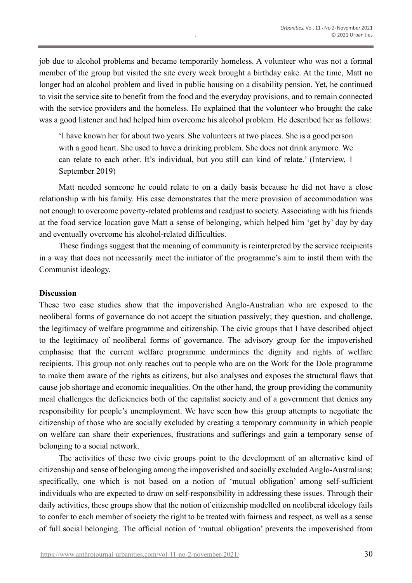job due to alcohol problems and became temporarily homeless. A volunteer who was not a formal member of the group but visited the site every week brought a birthday cake. At the time, Matt no longer had an alcohol problem and lived in public housing on a disability pension. Yet, he continued to visit the service site to benefit from the food and the everyday provisions, and to remain connected with the service providers and the homeless. He explained that the volunteer who brought the cake was a good listener and had helped him overcome his alcohol problem. He described her as follows:

'I have known her for about two years. She volunteers at two places. She is a good person with a good heart. She used to have a drinking problem. She does not drink anymore. We can relate to each other. It's individual, but you still can kind of relate.' (Interview, 1 September 2019)

Matt needed someone he could relate to on a daily basis because he did not have a close relationship with his family. His case demonstrates that the mere provision of accommodation was not enough to overcome poverty-related problems and readjust to society. Associating with his friends at the food service location gave Matt a sense of belonging, which helped him 'get by' day by day and eventually overcome his alcohol-related difficulties.

These findings suggest that the meaning of community is reinterpreted by the service recipients in a way that does not necessarily meet the initiator of the programme's aim to instil them with the Communist ideology.

### **Discussion**

These two case studies show that the impoverished Anglo-Australian who are exposed to the neoliberal forms of governance do not accept the situation passively; they question, and challenge, the legitimacy of welfare programme and citizenship. The civic groups that I have described object to the legitimacy of neoliberal forms of governance. The advisory group for the impoverished emphasise that the current welfare programme undermines the dignity and rights of welfare recipients. This group not only reaches out to people who are on the Work for the Dole programme to make them aware of the rights as citizens, but also analyses and exposes the structural flaws that cause job shortage and economic inequalities. On the other hand, the group providing the community meal challenges the deficiencies both of the capitalist society and of a government that denies any responsibility for people's unemployment. We have seen how this group attempts to negotiate the citizenship of those who are socially excluded by creating a temporary community in which people on welfare can share their experiences, frustrations and sufferings and gain a temporary sense of belonging to a social network.

The activities of these two civic groups point to the development of an alternative kind of citizenship and sense of belonging among the impoverished and socially excluded Anglo-Australians; specifically, one which is not based on a notion of 'mutual obligation' among self-sufficient individuals who are expected to draw on self-responsibility in addressing these issues. Through their daily activities, these groups show that the notion of citizenship modelled on neoliberal ideology fails to confer to each member of society the right to be treated with fairness and respect, as well as a sense of full social belonging. The official notion of 'mutual obligation' prevents the impoverished from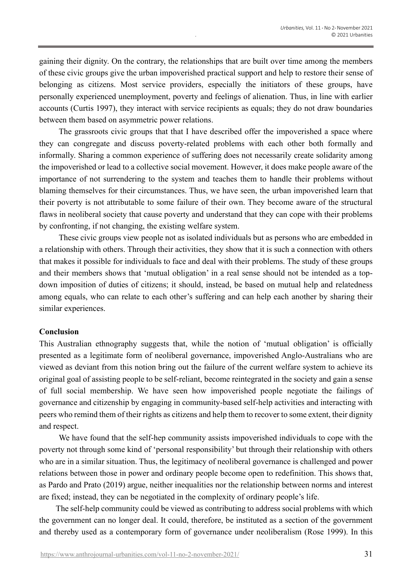gaining their dignity. On the contrary, the relationships that are built over time among the members of these civic groups give the urban impoverished practical support and help to restore their sense of belonging as citizens. Most service providers, especially the initiators of these groups, have personally experienced unemployment, poverty and feelings of alienation. Thus, in line with earlier accounts (Curtis 1997), they interact with service recipients as equals; they do not draw boundaries between them based on asymmetric power relations.

The grassroots civic groups that that I have described offer the impoverished a space where they can congregate and discuss poverty-related problems with each other both formally and informally. Sharing a common experience of suffering does not necessarily create solidarity among the impoverished or lead to a collective social movement. However, it does make people aware of the importance of not surrendering to the system and teaches them to handle their problems without blaming themselves for their circumstances. Thus, we have seen, the urban impoverished learn that their poverty is not attributable to some failure of their own. They become aware of the structural flaws in neoliberal society that cause poverty and understand that they can cope with their problems by confronting, if not changing, the existing welfare system.

These civic groups view people not as isolated individuals but as persons who are embedded in a relationship with others. Through their activities, they show that it is such a connection with others that makes it possible for individuals to face and deal with their problems. The study of these groups and their members shows that 'mutual obligation' in a real sense should not be intended as a topdown imposition of duties of citizens; it should, instead, be based on mutual help and relatedness among equals, who can relate to each other's suffering and can help each another by sharing their similar experiences.

#### **Conclusion**

This Australian ethnography suggests that, while the notion of 'mutual obligation' is officially presented as a legitimate form of neoliberal governance, impoverished Anglo-Australians who are viewed as deviant from this notion bring out the failure of the current welfare system to achieve its original goal of assisting people to be self-reliant, become reintegrated in the society and gain a sense of full social membership. We have seen how impoverished people negotiate the failings of governance and citizenship by engaging in community-based self-help activities and interacting with peers who remind them of their rights as citizens and help them to recover to some extent, their dignity and respect.

We have found that the self-hep community assists impoverished individuals to cope with the poverty not through some kind of 'personal responsibility' but through their relationship with others who are in a similar situation. Thus, the legitimacy of neoliberal governance is challenged and power relations between those in power and ordinary people become open to redefinition. This shows that, as Pardo and Prato (2019) argue, neither inequalities nor the relationship between norms and interest are fixed; instead, they can be negotiated in the complexity of ordinary people's life.

The self-help community could be viewed as contributing to address social problems with which the government can no longer deal. It could, therefore, be instituted as a section of the government and thereby used as a contemporary form of governance under neoliberalism (Rose 1999). In this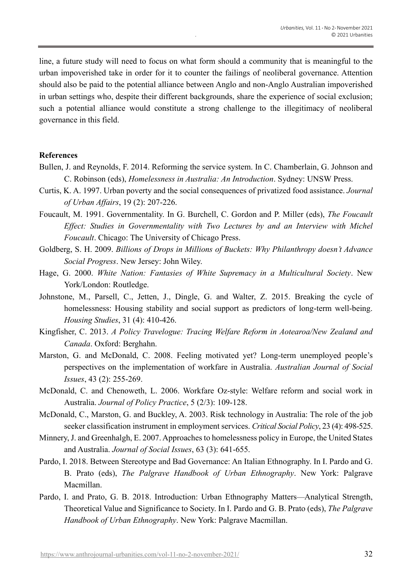line, a future study will need to focus on what form should a community that is meaningful to the urban impoverished take in order for it to counter the failings of neoliberal governance. Attention should also be paid to the potential alliance between Anglo and non-Anglo Australian impoverished in urban settings who, despite their different backgrounds, share the experience of social exclusion; such a potential alliance would constitute a strong challenge to the illegitimacy of neoliberal governance in this field.

### **References**

- Bullen, J. and Reynolds, F. 2014. Reforming the service system. In C. Chamberlain, G. Johnson and C. Robinson (eds), *Homelessness in Australia: An Introduction*. Sydney: UNSW Press.
- Curtis, K. A. 1997. Urban poverty and the social consequences of privatized food assistance. *Journal of Urban Affairs*, 19 (2): 207-226.
- Foucault, M. 1991. Governmentality. In G. Burchell, C. Gordon and P. Miller (eds), *The Foucault Effect: Studies in Governmentality with Two Lectures by and an Interview with Michel Foucault*. Chicago: The University of Chicago Press.
- Goldberg, S. H. 2009. *Billions of Drops in Millions of Buckets: Why Philanthropy doesn't Advance Social Progress*. New Jersey: John Wiley.
- Hage, G. 2000. *White Nation: Fantasies of White Supremacy in a Multicultural Society*. New York/London: Routledge.
- Johnstone, M., Parsell, C., Jetten, J., Dingle, G. and Walter, Z. 2015. Breaking the cycle of homelessness: Housing stability and social support as predictors of long-term well-being. *Housing Studies*, 31 (4): 410-426.
- Kingfisher, C. 2013. *A Policy Travelogue: Tracing Welfare Reform in Aotearoa/New Zealand and Canada*. Oxford: Berghahn.
- Marston, G. and McDonald, C. 2008. Feeling motivated yet? Long-term unemployed people's perspectives on the implementation of workfare in Australia. *Australian Journal of Social Issues*, 43 (2): 255-269.
- McDonald, C. and Chenoweth, L. 2006. Workfare Oz-style: Welfare reform and social work in Australia. *Journal of Policy Practice*, 5 (2/3): 109-128.
- McDonald, C., Marston, G. and Buckley, A. 2003. Risk technology in Australia: The role of the job seeker classification instrument in employment services. *Critical Social Policy*, 23 (4): 498-525.
- Minnery,J. and Greenhalgh, E. 2007. Approaches to homelessness policy in Europe, the United States and Australia. *Journal of Social Issues*, 63 (3): 641-655.
- Pardo, I. 2018. Between Stereotype and Bad Governance: An Italian Ethnography. In I. Pardo and G. B. Prato (eds), *The Palgrave Handbook of Urban Ethnography*. New York: Palgrave Macmillan.
- Pardo, I. and Prato, G. B. 2018. Introduction: Urban Ethnography Matters—Analytical Strength, Theoretical Value and Significance to Society. In I. Pardo and G. B. Prato (eds), *The Palgrave Handbook of Urban Ethnography*. New York: Palgrave Macmillan.